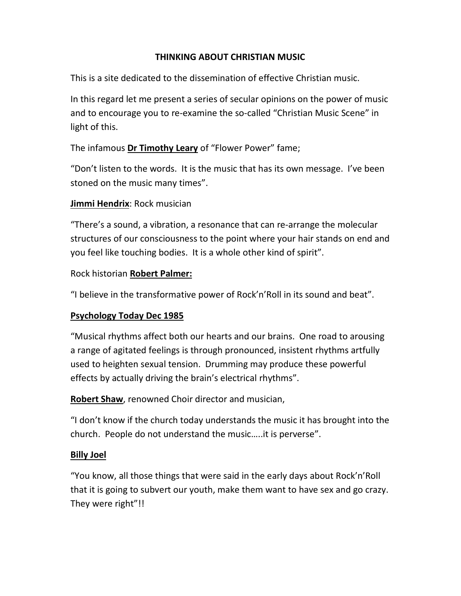#### THINKING ABOUT CHRISTIAN MUSIC

This is a site dedicated to the dissemination of effective Christian music.

In this regard let me present a series of secular opinions on the power of music and to encourage you to re-examine the so-called "Christian Music Scene" in light of this.

The infamous Dr Timothy Leary of "Flower Power" fame;

"Don't listen to the words. It is the music that has its own message. I've been stoned on the music many times".

## Jimmi Hendrix: Rock musician

"There's a sound, a vibration, a resonance that can re-arrange the molecular structures of our consciousness to the point where your hair stands on end and you feel like touching bodies. It is a whole other kind of spirit".

#### Rock historian Robert Palmer:

"I believe in the transformative power of Rock'n'Roll in its sound and beat".

## Psychology Today Dec 1985

"Musical rhythms affect both our hearts and our brains. One road to arousing a range of agitated feelings is through pronounced, insistent rhythms artfully used to heighten sexual tension. Drumming may produce these powerful effects by actually driving the brain's electrical rhythms".

Robert Shaw, renowned Choir director and musician,

"I don't know if the church today understands the music it has brought into the church. People do not understand the music…..it is perverse".

## Billy Joel

"You know, all those things that were said in the early days about Rock'n'Roll that it is going to subvert our youth, make them want to have sex and go crazy. They were right"!!